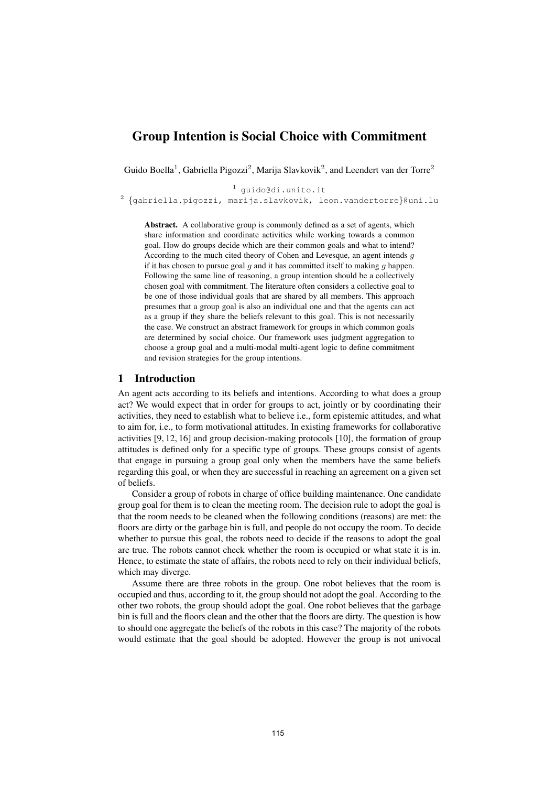# Group Intention is Social Choice with Commitment

Guido Boella<sup>1</sup>, Gabriella Pigozzi<sup>2</sup>, Marija Slavkovik<sup>2</sup>, and Leendert van der Torre<sup>2</sup>

<sup>1</sup> guido@di.unito.it  $^{2}$  {gabriella.pigozzi, marija.slavkovik, leon.vandertorre}@uni.lu

Abstract. A collaborative group is commonly defined as a set of agents, which share information and coordinate activities while working towards a common goal. How do groups decide which are their common goals and what to intend? According to the much cited theory of Cohen and Levesque, an agent intends g if it has chosen to pursue goal  $g$  and it has committed itself to making  $g$  happen. Following the same line of reasoning, a group intention should be a collectively chosen goal with commitment. The literature often considers a collective goal to be one of those individual goals that are shared by all members. This approach presumes that a group goal is also an individual one and that the agents can act as a group if they share the beliefs relevant to this goal. This is not necessarily the case. We construct an abstract framework for groups in which common goals are determined by social choice. Our framework uses judgment aggregation to choose a group goal and a multi-modal multi-agent logic to define commitment and revision strategies for the group intentions.

# 1 Introduction

An agent acts according to its beliefs and intentions. According to what does a group act? We would expect that in order for groups to act, jointly or by coordinating their activities, they need to establish what to believe i.e., form epistemic attitudes, and what to aim for, i.e., to form motivational attitudes. In existing frameworks for collaborative activities [9, 12, 16] and group decision-making protocols [10], the formation of group attitudes is defined only for a specific type of groups. These groups consist of agents that engage in pursuing a group goal only when the members have the same beliefs regarding this goal, or when they are successful in reaching an agreement on a given set of beliefs.

Consider a group of robots in charge of office building maintenance. One candidate group goal for them is to clean the meeting room. The decision rule to adopt the goal is that the room needs to be cleaned when the following conditions (reasons) are met: the floors are dirty or the garbage bin is full, and people do not occupy the room. To decide whether to pursue this goal, the robots need to decide if the reasons to adopt the goal are true. The robots cannot check whether the room is occupied or what state it is in. Hence, to estimate the state of affairs, the robots need to rely on their individual beliefs, which may diverge.

Assume there are three robots in the group. One robot believes that the room is occupied and thus, according to it, the group should not adopt the goal. According to the other two robots, the group should adopt the goal. One robot believes that the garbage bin is full and the floors clean and the other that the floors are dirty. The question is how to should one aggregate the beliefs of the robots in this case? The majority of the robots would estimate that the goal should be adopted. However the group is not univocal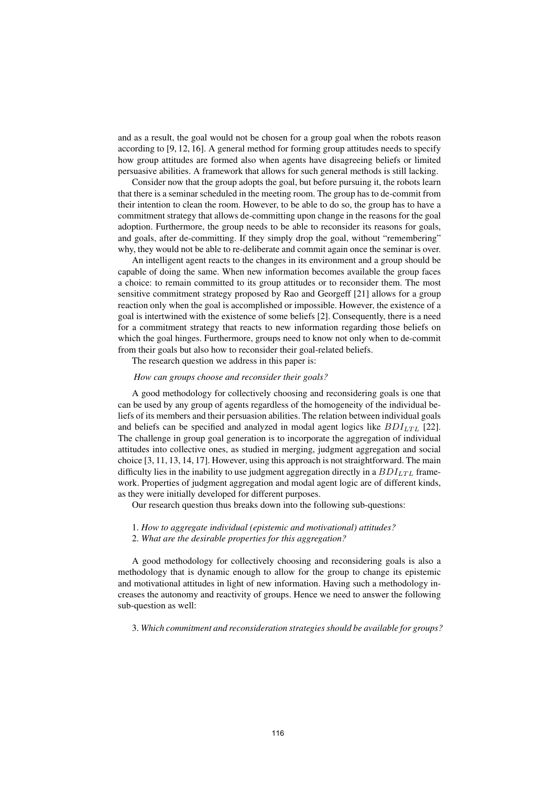and as a result, the goal would not be chosen for a group goal when the robots reason according to [9, 12, 16]. A general method for forming group attitudes needs to specify how group attitudes are formed also when agents have disagreeing beliefs or limited persuasive abilities. A framework that allows for such general methods is still lacking.

Consider now that the group adopts the goal, but before pursuing it, the robots learn that there is a seminar scheduled in the meeting room. The group has to de-commit from their intention to clean the room. However, to be able to do so, the group has to have a commitment strategy that allows de-committing upon change in the reasons for the goal adoption. Furthermore, the group needs to be able to reconsider its reasons for goals, and goals, after de-committing. If they simply drop the goal, without "remembering" why, they would not be able to re-deliberate and commit again once the seminar is over.

An intelligent agent reacts to the changes in its environment and a group should be capable of doing the same. When new information becomes available the group faces a choice: to remain committed to its group attitudes or to reconsider them. The most sensitive commitment strategy proposed by Rao and Georgeff [21] allows for a group reaction only when the goal is accomplished or impossible. However, the existence of a goal is intertwined with the existence of some beliefs [2]. Consequently, there is a need for a commitment strategy that reacts to new information regarding those beliefs on which the goal hinges. Furthermore, groups need to know not only when to de-commit from their goals but also how to reconsider their goal-related beliefs.

The research question we address in this paper is:

#### How can groups choose and reconsider their goals?

A good methodology for collectively choosing and reconsidering goals is one that can be used by any group of agents regardless of the homogeneity of the individual beliefs of its members and their persuasion abilities. The relation between individual goals and beliefs can be specified and analyzed in modal agent logics like  $BDI_{LTL}$  [22]. The challenge in group goal generation is to incorporate the aggregation of individual attitudes into collective ones, as studied in merging, judgment aggregation and social choice [3, 11, 13, 14, 17]. However, using this approach is not straightforward. The main difficulty lies in the inability to use judgment aggregation directly in a  $BDI_{LTL}$  framework. Properties of judgment aggregation and modal agent logic are of different kinds, as they were initially developed for different purposes.

Our research question thus breaks down into the following sub-questions:

- 1. How to aggregate individual (epistemic and motivational) attitudes?
- 2. What are the desirable properties for this aggregation?

A good methodology for collectively choosing and reconsidering goals is also a methodology that is dynamic enough to allow for the group to change its epistemic and motivational attitudes in light of new information. Having such a methodology increases the autonomy and reactivity of groups. Hence we need to answer the following sub-question as well:

3. Which commitment and reconsideration strategies should be available for groups?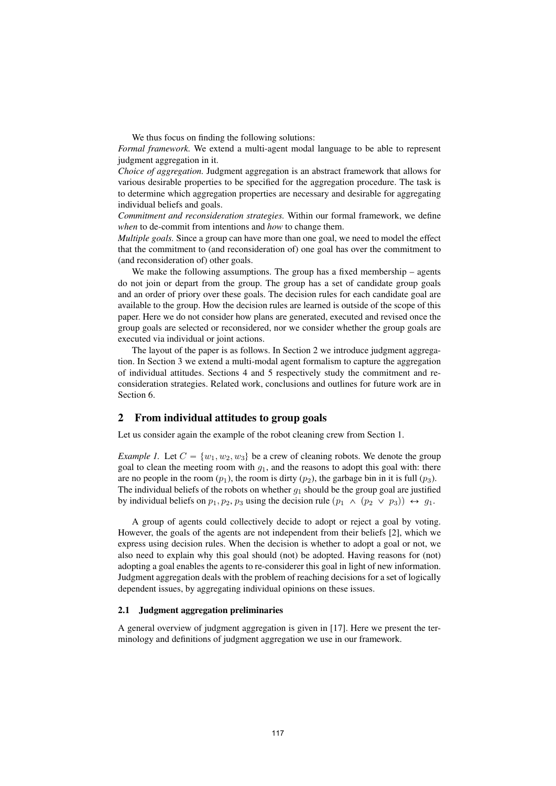We thus focus on finding the following solutions:

Formal framework. We extend a multi-agent modal language to be able to represent judgment aggregation in it.

Choice of aggregation. Judgment aggregation is an abstract framework that allows for various desirable properties to be specified for the aggregation procedure. The task is to determine which aggregation properties are necessary and desirable for aggregating individual beliefs and goals.

Commitment and reconsideration strategies. Within our formal framework, we define when to de-commit from intentions and how to change them.

Multiple goals. Since a group can have more than one goal, we need to model the effect that the commitment to (and reconsideration of) one goal has over the commitment to (and reconsideration of) other goals.

We make the following assumptions. The group has a fixed membership – agents do not join or depart from the group. The group has a set of candidate group goals and an order of priory over these goals. The decision rules for each candidate goal are available to the group. How the decision rules are learned is outside of the scope of this paper. Here we do not consider how plans are generated, executed and revised once the group goals are selected or reconsidered, nor we consider whether the group goals are executed via individual or joint actions.

The layout of the paper is as follows. In Section 2 we introduce judgment aggregation. In Section 3 we extend a multi-modal agent formalism to capture the aggregation of individual attitudes. Sections 4 and 5 respectively study the commitment and reconsideration strategies. Related work, conclusions and outlines for future work are in Section 6.

### 2 From individual attitudes to group goals

Let us consider again the example of the robot cleaning crew from Section 1.

*Example 1.* Let  $C = \{w_1, w_2, w_3\}$  be a crew of cleaning robots. We denote the group goal to clean the meeting room with  $g_1$ , and the reasons to adopt this goal with: there are no people in the room  $(p_1)$ , the room is dirty  $(p_2)$ , the garbage bin in it is full  $(p_3)$ . The individual beliefs of the robots on whether  $q_1$  should be the group goal are justified by individual beliefs on  $p_1, p_2, p_3$  using the decision rule  $(p_1 \land (p_2 \lor p_3)) \leftrightarrow g_1$ .

A group of agents could collectively decide to adopt or reject a goal by voting. However, the goals of the agents are not independent from their beliefs [2], which we express using decision rules. When the decision is whether to adopt a goal or not, we also need to explain why this goal should (not) be adopted. Having reasons for (not) adopting a goal enables the agents to re-considerer this goal in light of new information. Judgment aggregation deals with the problem of reaching decisions for a set of logically dependent issues, by aggregating individual opinions on these issues.

#### 2.1 Judgment aggregation preliminaries

A general overview of judgment aggregation is given in [17]. Here we present the terminology and definitions of judgment aggregation we use in our framework.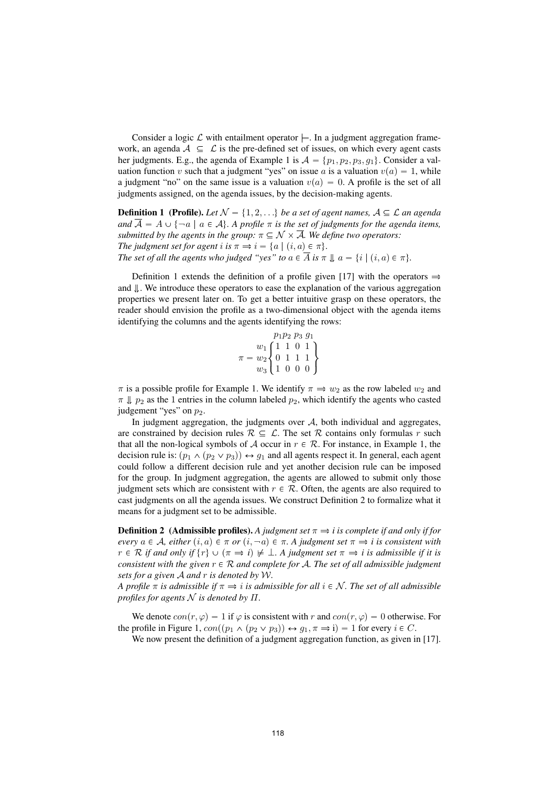Consider a logic  $\mathcal L$  with entailment operator  $\models$ . In a judgment aggregation framework, an agenda  $A \subseteq \mathcal{L}$  is the pre-defined set of issues, on which every agent casts her judgments. E.g., the agenda of Example 1 is  $A = \{p_1, p_2, p_3, g_1\}$ . Consider a valuation function v such that a judgment "yes" on issue a is a valuation  $v(a) = 1$ , while a judgment "no" on the same issue is a valuation  $v(a) = 0$ . A profile is the set of all judgments assigned, on the agenda issues, by the decision-making agents.

**Definition 1** (Profile). Let  $\mathcal{N} = \{1, 2, ...\}$  be a set of agent names,  $\mathcal{A} \subseteq \mathcal{L}$  an agenda and  $\overline{A} = A \cup \{\neg a \mid a \in A\}$ . A profile  $\pi$  is the set of judgments for the agenda items, submitted by the agents in the group:  $\pi \subseteq \mathcal{N} \times \overline{\mathcal{A}}$ . We define two operators: The judgment set for agent i is  $\pi \Rightarrow i = \{a \mid (i, a) \in \pi\}.$ The set of all the agents who judged "yes" to  $a \in \overline{A}$  is  $\pi \downarrow a = \{i \mid (i, a) \in \pi\}.$ 

Definition 1 extends the definition of a profile given [17] with the operators  $\Rightarrow$ and  $\|$ . We introduce these operators to ease the explanation of the various aggregation properties we present later on. To get a better intuitive grasp on these operators, the reader should envision the profile as a two-dimensional object with the agenda items identifying the columns and the agents identifying the rows:

$$
\pi = \begin{bmatrix} p_1 p_2 \ p_3 \ g_1 \\ w_1 \begin{Bmatrix} 1 & 1 & 0 & 1 \\ 0 & 1 & 1 & 1 \\ w_3 \end{Bmatrix} \\ w_3 \end{bmatrix}
$$

 $\pi$  is a possible profile for Example 1. We identify  $\pi \Rightarrow w_2$  as the row labeled  $w_2$  and  $\pi \Downarrow p_2$  as the 1 entries in the column labeled  $p_2$ , which identify the agents who casted judgement "yes" on  $p_2$ .

In judgment aggregation, the judgments over  $A$ , both individual and aggregates, are constrained by decision rules  $\mathcal{R} \subseteq \mathcal{L}$ . The set R contains only formulas r such that all the non-logical symbols of A occur in  $r \in \mathcal{R}$ . For instance, in Example 1, the decision rule is:  $(p_1 \wedge (p_2 \vee p_3)) \leftrightarrow q_1$  and all agents respect it. In general, each agent could follow a different decision rule and yet another decision rule can be imposed for the group. In judgment aggregation, the agents are allowed to submit only those judgment sets which are consistent with  $r \in \mathcal{R}$ . Often, the agents are also required to cast judgments on all the agenda issues. We construct Definition 2 to formalize what it means for a judgment set to be admissible.

**Definition 2** (Admissible profiles). A judgment set  $\pi \Rightarrow i$  is complete if and only if for every  $a \in \mathcal{A}$ , either  $(i, a) \in \pi$  or  $(i, \neg a) \in \pi$ . A judgment set  $\pi \Rightarrow i$  is consistent with  $r \in \mathcal{R}$  if and only if  $\{r\} \cup (\pi \Rightarrow i) \not\models \bot$ . A judgment set  $\pi \Rightarrow i$  is admissible if it is consistent with the given  $r \in \mathcal{R}$  and complete for A. The set of all admissible judgment sets for a given  $A$  and  $r$  is denoted by  $W$ .

A profile  $\pi$  is admissible if  $\pi \Rightarrow i$  is admissible for all  $i \in \mathcal{N}$ . The set of all admissible profiles for agents  $N$  is denoted by  $\Pi$ .

We denote  $con(r, \varphi) = 1$  if  $\varphi$  is consistent with r and  $con(r, \varphi) = 0$  otherwise. For the profile in Figure 1,  $con((p_1 \wedge (p_2 \vee p_3)) \leftrightarrow q_1, \pi \Rightarrow i) = 1$  for every  $i \in C$ .

We now present the definition of a judgment aggregation function, as given in [17].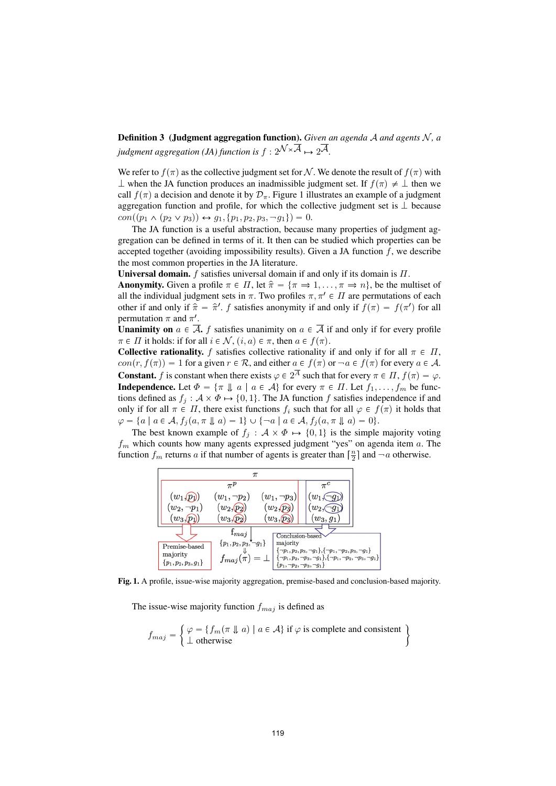**Definition 3** (Judgment aggregation function). Given an agenda  $A$  and agents  $N$ , a judgment aggregation (JA) function is  $f: 2^{\mathcal{N}\times\overline{\mathcal{A}}}\mapsto 2^{\overline{\mathcal{A}}}$ .

We refer to  $f(\pi)$  as the collective judgment set for N. We denote the result of  $f(\pi)$  with  $\perp$  when the JA function produces an inadmissible judgment set. If  $f(\pi) \neq \perp$  then we call  $f(\pi)$  a decision and denote it by  $\mathcal{D}_{\pi}$ . Figure 1 illustrates an example of a judgment aggregation function and profile, for which the collective judgment set is  $\perp$  because  $con((p_1 \wedge (p_2 \vee p_3)) \leftrightarrow g_1, \{p_1, p_2, p_3, \neg g_1\}) = 0.$ 

The JA function is a useful abstraction, because many properties of judgment aggregation can be defined in terms of it. It then can be studied which properties can be accepted together (avoiding impossibility results). Given a JA function  $f$ , we describe the most common properties in the JA literature.

**Universal domain.**  $f$  satisfies universal domain if and only if its domain is  $\Pi$ .

**Anonymity.** Given a profile  $\pi \in \Pi$ , let  $\hat{\pi} = {\pi \Rightarrow 1, ..., \pi \Rightarrow n}$ , be the multiset of all the individual judgment sets in  $\pi$ . Two profiles  $\pi, \pi' \in \Pi$  are permutations of each other if and only if  $\hat{\pi} = \hat{\pi}'$ . f satisfies anonymity if and only if  $f(\pi) = f(\pi')$  for all permutation  $\pi$  and  $\pi'$ .

**Unanimity on**  $a \in \overline{A}$ , f satisfies unanimity on  $a \in \overline{A}$  if and only if for every profile  $\pi \in \Pi$  it holds: if for all  $i \in \mathcal{N}$ ,  $(i, a) \in \pi$ , then  $a \in f(\pi)$ .

**Collective rationality.** f satisfies collective rationality if and only if for all  $\pi \in \Pi$ ,  $con(r, f(\pi)) = 1$  for a given  $r \in \mathcal{R}$ , and either  $a \in f(\pi)$  or  $\neg a \in f(\pi)$  for every  $a \in \mathcal{A}$ . **Constant.** f is constant when there exists  $\varphi \in 2^{\overline{A}}$  such that for every  $\pi \in \Pi$ ,  $f(\pi) = \varphi$ . **Independence.** Let  $\Phi = {\pi \downarrow a \mid a \in A}$  for every  $\pi \in \Pi$ . Let  $f_1, \ldots, f_m$  be functions defined as  $f_j : \mathcal{A} \times \Phi \mapsto \{0,1\}$ . The JA function f satisfies independence if and only if for all  $\pi \in \Pi$ , there exist functions  $f_i$  such that for all  $\varphi \in f(\pi)$  it holds that  $\varphi = \{a \mid a \in \mathcal{A}, f_j(a, \pi \parallel a) = 1\} \cup \{\neg a \mid a \in \mathcal{A}, f_j(a, \pi \parallel a) = 0\}.$ 

The best known example of  $f_j : A \times \Phi \mapsto \{0,1\}$  is the simple majority voting  $f_m$  which counts how many agents expressed judgment "yes" on agenda item a. The function  $f_m$  returns a if that number of agents is greater than  $\lceil \frac{n}{2} \rceil$  and  $\lceil \frac{n}{2} \rceil$  and  $\lceil \frac{n}{2} \rceil$ 



Fig. 1. A profile, issue-wise majority aggregation, premise-based and conclusion-based majority.

The issue-wise majority function  $f_{maj}$  is defined as

$$
f_{maj} = \begin{cases} \varphi = \{ f_m(\pi \Downarrow a) \mid a \in \mathcal{A} \} \text{ if } \varphi \text{ is complete and consistent} \\ \bot \text{ otherwise} \end{cases}
$$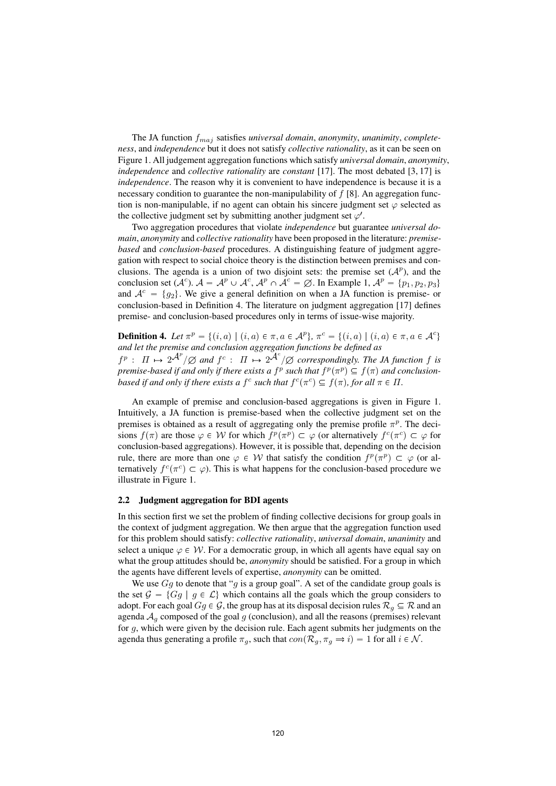The JA function  $f_{maj}$  satisfies universal domain, anonymity, unanimity, completeness, and independence but it does not satisfy collective rationality, as it can be seen on Figure 1. All judgement aggregation functions which satisfy universal domain, anonymity, independence and collective rationality are constant [17]. The most debated  $[3, 17]$  is independence. The reason why it is convenient to have independence is because it is a necessary condition to guarantee the non-manipulability of  $f(8)$ . An aggregation function is non-manipulable, if no agent can obtain his sincere judgment set  $\varphi$  selected as the collective judgment set by submitting another judgment set  $\varphi'$ .

Two aggregation procedures that violate independence but guarantee universal domain, anonymity and collective rationality have been proposed in the literature: *premise*based and conclusion-based procedures. A distinguishing feature of judgment aggregation with respect to social choice theory is the distinction between premises and conclusions. The agenda is a union of two disjoint sets: the premise set  $(A^p)$ , and the conclusion set  $(A^c)$ .  $A = A^p \cup A^c$ ,  $A^p \cap A^c = \emptyset$ . In Example 1,  $A^p = \{p_1, p_2, p_3\}$ and  $A^c = \{q_2\}$ . We give a general definition on when a JA function is premise- or conclusion-based in Definition 4. The literature on judgment aggregation [17] defines premise- and conclusion-based procedures only in terms of issue-wise majority.

**Definition 4.** Let  $\pi^p = \{(i, a) | (i, a) \in \pi, a \in \mathcal{A}^p\}$ ,  $\pi^c = \{(i, a) | (i, a) \in \pi, a \in \mathcal{A}^c\}$ and let the premise and conclusion aggregation functions be defined as  $f^p$  :  $\Pi \mapsto 2^{\mathcal{A}^p}/\varnothing$  and  $f^c$  :  $\Pi \mapsto 2^{\mathcal{A}^c}/\varnothing$  correspondingly. The JA function f is

premise-based if and only if there exists a  $f^p$  such that  $f^p(\pi^p) \subseteq f(\pi)$  and conclusionbased if and only if there exists a f<sup>c</sup> such that  $f^c(\pi^c) \subseteq f(\pi)$ , for all  $\pi \in \Pi$ .

An example of premise and conclusion-based aggregations is given in Figure 1. Intuitively, a JA function is premise-based when the collective judgment set on the premises is obtained as a result of aggregating only the premise profile  $\pi^p$ . The decisions  $f(\pi)$  are those  $\varphi \in W$  for which  $f^p(\pi^p) \subset \varphi$  (or alternatively  $f^c(\pi^c) \subset \varphi$  for conclusion-based aggregations). However, it is possible that, depending on the decision rule, there are more than one  $\varphi \in \mathcal{W}$  that satisfy the condition  $f^p(\pi^p) \subset \varphi$  (or alternatively  $f^c(\pi^c) \subset \varphi$ ). This is what happens for the conclusion-based procedure we illustrate in Figure 1.

#### 2.2 Judgment aggregation for BDI agents

In this section first we set the problem of finding collective decisions for group goals in the context of judgment aggregation. We then argue that the aggregation function used for this problem should satisfy: collective rationality, universal domain, unanimity and select a unique  $\varphi \in \mathcal{W}$ . For a democratic group, in which all agents have equal say on what the group attitudes should be, *anonymity* should be satisfied. For a group in which the agents have different levels of expertise, anonymity can be omitted.

We use  $Gg$  to denote that "g is a group goal". A set of the candidate group goals is the set  $\mathcal{G} = \{Gg \mid g \in \mathcal{L}\}\$  which contains all the goals which the group considers to adopt. For each goal  $Gg \in \mathcal{G}$ , the group has at its disposal decision rules  $\mathcal{R}_g \subseteq \mathcal{R}$  and an agenda  $A<sub>q</sub>$  composed of the goal  $g$  (conclusion), and all the reasons (premises) relevant for g, which were given by the decision rule. Each agent submits her judgments on the agenda thus generating a profile  $\pi_g$ , such that  $con(\mathcal{R}_g, \pi_g \Rightarrow i) = 1$  for all  $i \in \mathcal{N}$ .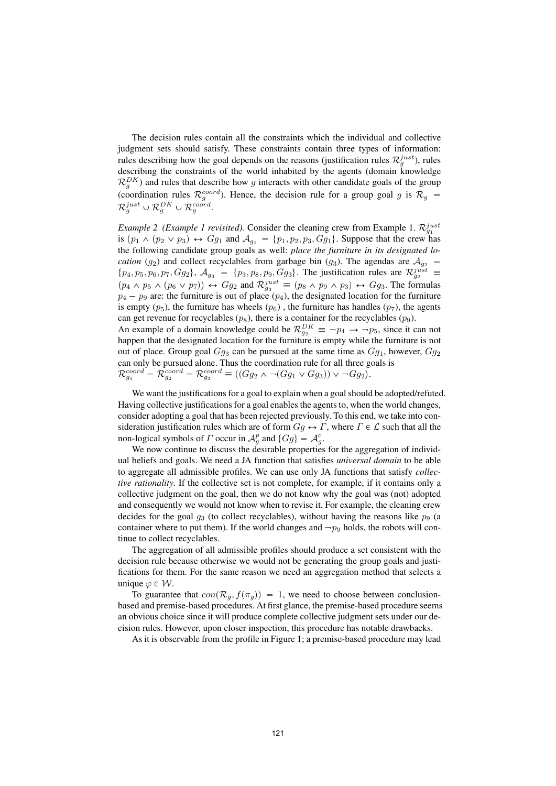The decision rules contain all the constraints which the individual and collective judgment sets should satisfy. These constraints contain three types of information: rules describing how the goal depends on the reasons (justification rules  $\mathcal{R}_g^{just}$ ), rules describing the constraints of the world inhabited by the agents (domain knowledge  $\mathcal{R}_g^{DK}$ ) and rules that describe how g interacts with other candidate goals of the group (coordination rules  $\mathcal{R}_g^{coord}$ ). Hence, the decision rule for a group goal g is  $\mathcal{R}_g$  =  $\mathcal{R}^{just}_g \cup \mathcal{R}^{DK}_g \cup \mathcal{R}^{coord}_g.$ 

*Example 2 (Example 1 revisited)*. Consider the cleaning crew from Example 1.  $\mathcal{R}_{g_1}^{just}$ is  $(p_1 \wedge (p_2 \vee p_3) \leftrightarrow Gg_1$  and  $\mathcal{A}_{g_1} = \{p_1, p_2, p_3, Gg_1\}$ . Suppose that the crew has the following candidate group goals as well: place the furniture in its designated lo*cation* (g<sub>2</sub>) and collect recyclables from garbage bin (g<sub>3</sub>). The agendas are  $A_{g_2}$  =  $\{p_4, p_5, p_6, p_7, Gg_2\}, \mathcal{A}_{g_3} = \{p_3, p_8, p_9, Gg_3\}.$  The justification rules are  $\mathcal{R}_{g_2}^{just}$  $(p_4 \wedge p_5 \wedge (p_6 \vee p_7)) \leftrightarrow Gg_2$  and  $\mathcal{R}_{g_3}^{just} \equiv (p_8 \wedge p_9 \wedge p_3) \leftrightarrow Gg_3$ . The formulas  $p_4 - p_9$  are: the furniture is out of place  $(p_4)$ , the designated location for the furniture is empty  $(p_5)$ , the furniture has wheels  $(p_6)$ , the furniture has handles  $(p_7)$ , the agents can get revenue for recyclables  $(p_8)$ , there is a container for the recyclables  $(p_9)$ .

An example of a domain knowledge could be  $\mathcal{R}_{g_2}^{DK} \equiv \neg p_4 \rightarrow \neg p_5$ , since it can not happen that the designated location for the furniture is empty while the furniture is not out of place. Group goal  $Gg_3$  can be pursued at the same time as  $Gg_1$ , however,  $Gg_2$ can only be pursued alone. Thus the coordination rule for all three goals is  $\mathcal{R}_{g_1}^{coord} = \mathcal{R}_{g_2}^{coord} = \mathcal{R}_{g_3}^{coord} \equiv ((Gg_2 \wedge \neg (Gg_1 \vee Gg_3)) \vee \neg Gg_2).$ 

We want the justifications for a goal to explain when a goal should be adopted/refuted. Having collective justifications for a goal enables the agents to, when the world changes, consider adopting a goal that has been rejected previously. To this end, we take into consideration justification rules which are of form  $Gg \leftrightarrow \Gamma$ , where  $\Gamma \in \mathcal{L}$  such that all the non-logical symbols of  $\Gamma$  occur in  $\mathcal{A}_{g}^{p}$  and  $\{Gg\} = \mathcal{A}_{g}^{c}$ .

We now continue to discuss the desirable properties for the aggregation of individual beliefs and goals. We need a JA function that satisfies *universal domain* to be able to aggregate all admissible profiles. We can use only JA functions that satisfy collective rationality. If the collective set is not complete, for example, if it contains only a collective judgment on the goal, then we do not know why the goal was (not) adopted and consequently we would not know when to revise it. For example, the cleaning crew decides for the goal  $q_3$  (to collect recyclables), without having the reasons like  $p_9$  (a container where to put them). If the world changes and  $-p<sub>9</sub>$  holds, the robots will continue to collect recyclables.

The aggregation of all admissible profiles should produce a set consistent with the decision rule because otherwise we would not be generating the group goals and justifications for them. For the same reason we need an aggregation method that selects a unique  $\varphi \in \mathcal{W}$ .

To guarantee that  $con(\mathcal{R}_g, f(\pi_g)) = 1$ , we need to choose between conclusionbased and premise-based procedures. At first glance, the premise-based procedure seems an obvious choice since it will produce complete collective judgment sets under our decision rules. However, upon closer inspection, this procedure has notable drawbacks.

As it is observable from the profile in Figure 1; a premise-based procedure may lead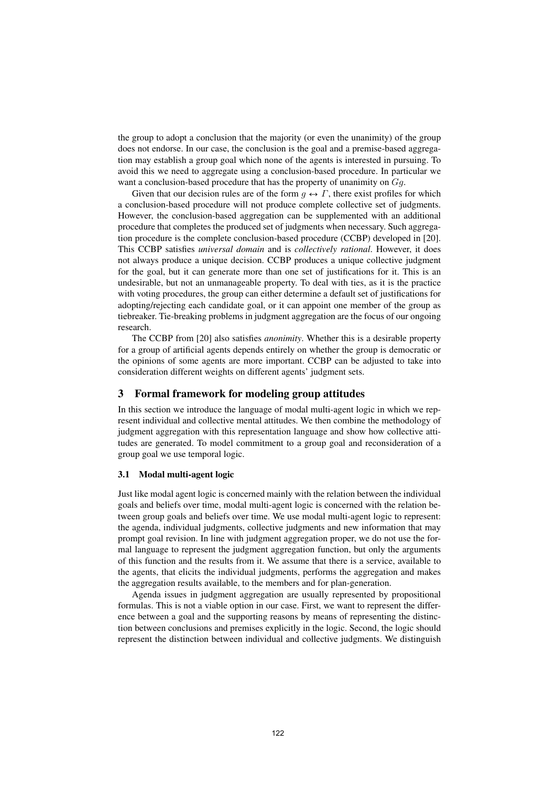the group to adopt a conclusion that the majority (or even the unanimity) of the group does not endorse. In our case, the conclusion is the goal and a premise-based aggregation may establish a group goal which none of the agents is interested in pursuing. To avoid this we need to aggregate using a conclusion-based procedure. In particular we want a conclusion-based procedure that has the property of unanimity on  $Gq$ .

Given that our decision rules are of the form  $q \leftrightarrow \Gamma$ , there exist profiles for which a conclusion-based procedure will not produce complete collective set of judgments. However, the conclusion-based aggregation can be supplemented with an additional procedure that completes the produced set of judgments when necessary. Such aggregation procedure is the complete conclusion-based procedure (CCBP) developed in [20]. This CCBP satisfies universal domain and is collectively rational. However, it does not always produce a unique decision. CCBP produces a unique collective judgment for the goal, but it can generate more than one set of justifications for it. This is an undesirable, but not an unmanageable property. To deal with ties, as it is the practice with voting procedures, the group can either determine a default set of justifications for adopting/rejecting each candidate goal, or it can appoint one member of the group as tiebreaker. Tie-breaking problems in judgment aggregation are the focus of our ongoing research.

The CCBP from [20] also satisfies anonimity. Whether this is a desirable property for a group of artificial agents depends entirely on whether the group is democratic or the opinions of some agents are more important. CCBP can be adjusted to take into consideration different weights on different agents' judgment sets.

# 3 Formal framework for modeling group attitudes

In this section we introduce the language of modal multi-agent logic in which we represent individual and collective mental attitudes. We then combine the methodology of judgment aggregation with this representation language and show how collective attitudes are generated. To model commitment to a group goal and reconsideration of a group goal we use temporal logic.

#### 3.1 Modal multi-agent logic

Just like modal agent logic is concerned mainly with the relation between the individual goals and beliefs over time, modal multi-agent logic is concerned with the relation between group goals and beliefs over time. We use modal multi-agent logic to represent: the agenda, individual judgments, collective judgments and new information that may prompt goal revision. In line with judgment aggregation proper, we do not use the formal language to represent the judgment aggregation function, but only the arguments of this function and the results from it. We assume that there is a service, available to the agents, that elicits the individual judgments, performs the aggregation and makes the aggregation results available, to the members and for plan-generation.

Agenda issues in judgment aggregation are usually represented by propositional formulas. This is not a viable option in our case. First, we want to represent the difference between a goal and the supporting reasons by means of representing the distinction between conclusions and premises explicitly in the logic. Second, the logic should represent the distinction between individual and collective judgments. We distinguish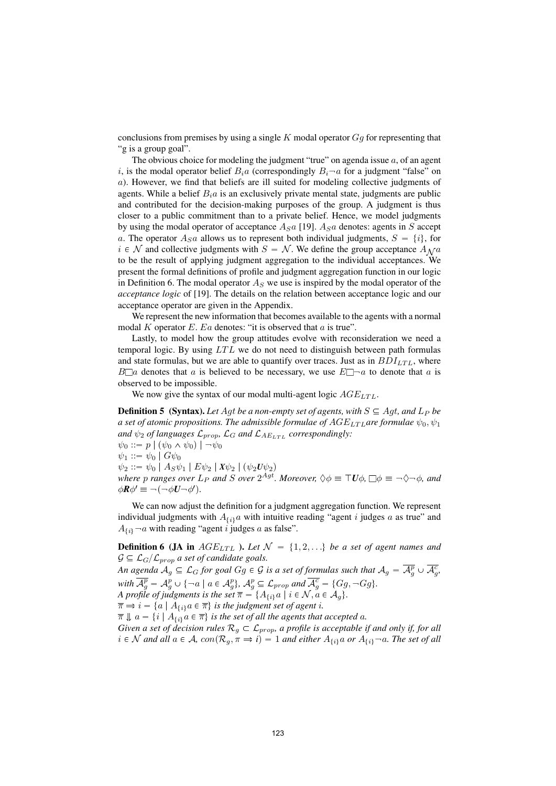conclusions from premises by using a single  $K$  modal operator  $Gg$  for representing that "g is a group goal".

The obvious choice for modeling the judgment "true" on agenda issue  $a$ , of an agent i, is the modal operator belief  $B_i a$  (correspondingly  $B_i \neg a$  for a judgment "false" on a). However, we find that beliefs are ill suited for modeling collective judgments of agents. While a belief  $B<sub>i</sub>a$  is an exclusively private mental state, judgments are public and contributed for the decision-making purposes of the group. A judgment is thus closer to a public commitment than to a private belief. Hence, we model judgments by using the modal operator of acceptance  $A_S a$  [19].  $A_S a$  denotes: agents in S accept a. The operator  $A_S a$  allows us to represent both individual judgments,  $S = \{i\}$ , for  $i \in \mathcal{N}$  and collective judgments with  $S = \mathcal{N}$ . We define the group acceptance  $A_{\mathcal{N}}a$ to be the result of applying judgment aggregation to the individual acceptances. We present the formal definitions of profile and judgment aggregation function in our logic in Definition 6. The modal operator  $A_s$  we use is inspired by the modal operator of the acceptance logic of [19]. The details on the relation between acceptance logic and our acceptance operator are given in the Appendix.

We represent the new information that becomes available to the agents with a normal modal K operator E. Ea denotes: "it is observed that  $a$  is true".

Lastly, to model how the group attitudes evolve with reconsideration we need a temporal logic. By using  $LTL$  we do not need to distinguish between path formulas and state formulas, but we are able to quantify over traces. Just as in  $BDI_{LTL}$ , where  $B\Box a$  denotes that a is believed to be necessary, we use  $E\Box \neg a$  to denote that a is observed to be impossible.

We now give the syntax of our modal multi-agent logic  $AGE_{LTL}$ .

**Definition 5** (Syntax). Let Agt be a non-empty set of agents, with  $S \subseteq Agt$ , and  $L_P$  be a set of atomic propositions. The admissible formulae of  $AGE_{LTL}$ are formulae  $\psi_0, \psi_1$ and  $\psi_2$  of languages  $\mathcal{L}_{prop}$ ,  $\mathcal{L}_G$  and  $\mathcal{L}_{A E_{LTL}}$  correspondingly:  $\psi_0 ::= p \mid (\psi_0 \wedge \psi_0) \mid \neg \psi_0$  $\psi_1 ::= \psi_0 \mid G\psi_0$  $\psi_2 ::= \psi_0 | A_S \psi_1 | E \psi_2 | X \psi_2 | (\psi_2 U \psi_2)$ where p ranges over  $L_P$  and S over  $2^{Agt}$ . Moreover,  $\Diamond \phi \equiv \top U \phi$ ,  $\Box \phi \equiv \neg \Diamond \neg \phi$ , and  $\phi \mathbf{R} \phi' \equiv \neg(\neg \phi \mathbf{U} \neg \phi')$ .

We can now adjust the definition for a judgment aggregation function. We represent individual judgments with  $A_{\{i\}}a$  with intuitive reading "agent i judges a as true" and  $A_{\{i\}}$   $\neg a$  with reading "agent i judges a as false".

**Definition 6 (JA in**  $AGE_{LTL}$  ). Let  $\mathcal{N} = \{1, 2, ...\}$  be a set of agent names and  $\mathcal{G} \subseteq \mathcal{L}_{G}/\mathcal{L}_{prop}$  a set of candidate goals.

An agenda  $A_g\subseteq \mathcal{L}_G$  for goal  $Gg\in \mathcal{G}$  is a set of formulas such that  $A_g=\overline{\mathcal{A}^p_g}\cup \overline{\mathcal{A}^c_g}$ , with  $\overline{\mathcal{A}_g^p} = \mathcal{A}_g^p \cup \{ \neg a \mid a \in \mathcal{A}_g^p \}$ ,  $\mathcal{A}_g^p \subseteq \mathcal{L}_{prop}$  and  $\overline{\mathcal{A}_g^c} = \{Gg, \neg Gg\}$ . A profile of judgments is the set  $\overline{\pi} = \{A_{\{i\}}a \mid i \in \mathcal{N}, a \in \mathcal{A}_g\}.$  $\overline{\pi} \Rightarrow i = \{a \mid A_{\{i\}}a \in \overline{\pi}\}\$ is the judgment set of agent i.  $\overline{\pi} \Downarrow a = \{i \mid A_{\{i\}}a \in \overline{\pi}\}\$  is the set of all the agents that accepted a.

Given a set of decision rules  $\mathcal{R}_g \subset \mathcal{L}_{prop}$ , a profile is acceptable if and only if, for all  $i \in \mathcal{N}$  and all  $a \in \mathcal{A}$ ,  $con(\mathcal{R}_g, \pi \Rightarrow i) = 1$  and either  $A_{\{i\}}a$  or  $A_{\{i\}}\neg a$ . The set of all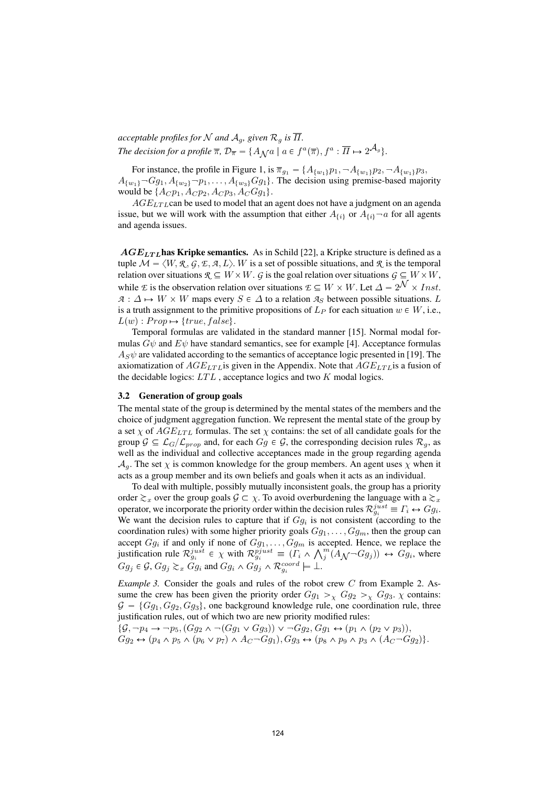acceptable profiles for N and  $A_q$ , given  $\mathcal{R}_q$  is  $\overline{\Pi}$ . The decision for a profile  $\overline{\pi}$ ,  $\mathcal{D}_{\overline{\pi}} = \{A_{\mathcal{N}}a \mid a \in f^a(\overline{\pi}), f^a : \overline{\Pi} \mapsto 2^{\mathcal{A}_g} \}.$ 

For instance, the profile in Figure 1, is  $\overline{\pi}_{g_1} = \{A_{\{w_1\}}p_1, \neg A_{\{w_1\}}p_2, \neg A_{\{w_1\}}p_3, \neg A_{\{w_1\}}p_4, \neg A_{\{w_1\}}p_5, \neg A_{\{w_2\}}p_6, \neg A_{\{w_2\}}p_7, \neg A_{\{w_3\}}p_8, \neg A_{\{w_4\}}p_9, \neg A_{\{w_4\}}p_9, \neg A_{\{w_4\}}p_9, \neg$  $A_{\{w_1\}}\neg Gg_1, A_{\{w_2\}}\neg p_1, \ldots, A_{\{w_3\}}Gg_1\}.$  The decision using premise-based majority would be  $\{A_C p_1, A_C p_2, A_C p_3, A_C G g_1\}.$ 

 $AGE_{LTL}$ can be used to model that an agent does not have a judgment on an agenda issue, but we will work with the assumption that either  $A_{\{i\}}$  or  $A_{\{i\}}\neg a$  for all agents and agenda issues.

 $AGE_{LTL}$  has Kripke semantics. As in Schild [22], a Kripke structure is defined as a tuple  $\mathcal{M} = \langle W, \mathcal{R}, \mathcal{G}, \mathcal{F}, \mathcal{A}, L \rangle$ . W is a set of possible situations, and  $\mathcal{R}$  is the temporal relation over situations  $\mathcal{R} \subseteq W \times W$ . G is the goal relation over situations  $G \subseteq W \times W$ , while E is the observation relation over situations  $\mathcal{E} \subseteq W \times W$ . Let  $\Delta = 2^{\mathcal{N}} \times Inst$ .  $A: \Delta \mapsto W \times W$  maps every  $S \in \Delta$  to a relation  $A_S$  between possible situations. L is a truth assignment to the primitive propositions of  $L_P$  for each situation  $w \in W$ , i.e.,  $L(w) : Prop \rightarrow \{ true, false \}.$ 

Temporal formulas are validated in the standard manner [15]. Normal modal formulas  $G\psi$  and  $E\psi$  have standard semantics, see for example [4]. Acceptance formulas  $A_{\rm S}\psi$  are validated according to the semantics of acceptance logic presented in [19]. The axiomatization of  $AGE_{LTL}$  is given in the Appendix. Note that  $AGE_{LTL}$  is a fusion of the decidable logics:  $LTL$ , acceptance logics and two  $K$  modal logics.

#### 3.2 Generation of group goals

The mental state of the group is determined by the mental states of the members and the choice of judgment aggregation function. We represent the mental state of the group by a set  $\chi$  of  $AGE_{LTL}$  formulas. The set  $\chi$  contains: the set of all candidate goals for the group  $\mathcal{G} \subseteq \mathcal{L}_G/\mathcal{L}_{prop}$  and, for each  $G_g \in \mathcal{G}$ , the corresponding decision rules  $\mathcal{R}_g$ , as well as the individual and collective acceptances made in the group regarding agenda  $A_q$ . The set  $\chi$  is common knowledge for the group members. An agent uses  $\chi$  when it acts as a group member and its own beliefs and goals when it acts as an individual.

To deal with multiple, possibly mutually inconsistent goals, the group has a priority order  $\gtrsim_x$  over the group goals  $\mathcal{G} \subset \chi$ . To avoid overburdening the language with a  $\gtrsim_x$ operator, we incorporate the priority order within the decision rules  $\mathcal{R}_{g_i}^{just} \equiv \Gamma_i \leftrightarrow Gg_i$ . We want the decision rules to capture that if  $Gg_i$  is not consistent (according to the coordination rules) with some higher priority goals  $Gg_1, \ldots, Gg_m$ , then the group can accept  $Gg_i$  if and only if none of  $Gg_1, \ldots, Gg_m$  is accepted. Hence, we replace the justification rule  $\mathcal{R}_{g_i}^{just} \in \chi$  with  $\mathcal{R}_{g_i}^{pjust} \equiv (\Gamma_i \wedge \bigwedge_j^m (A_{\mathcal{N}} \neg G g_j)) \leftrightarrow G g_i$ , where  $Gg_j \in \mathcal{G}$ ,  $Gg_j \succsim_x Gg_i$  and  $Gg_i \wedge Gg_j \wedge \mathcal{R}^{coord}_{g_i} \models \bot$ .

*Example 3.* Consider the goals and rules of the robot crew  $C$  from Example 2. Assume the crew has been given the priority order  $Gg_1 >_\chi Gg_2 >_\chi Gg_3$ .  $\chi$  contains:  $G = \{Gg_1, Gg_2, Gg_3\}$ , one background knowledge rule, one coordination rule, three justification rules, out of which two are new priority modified rules:

 $\{\mathcal{G}, \neg p_4 \rightarrow \neg p_5, (Gg_2 \land \neg(Gg_1 \lor Gg_3)) \lor \neg Gg_2, Gg_1 \leftrightarrow (p_1 \land (p_2 \lor p_3)),$  $Gg_2 \leftrightarrow (p_4 \land p_5 \land (p_6 \lor p_7) \land A_C \neg Gg_1), Gg_3 \leftrightarrow (p_8 \land p_9 \land p_3 \land (A_C \neg Gg_2)).$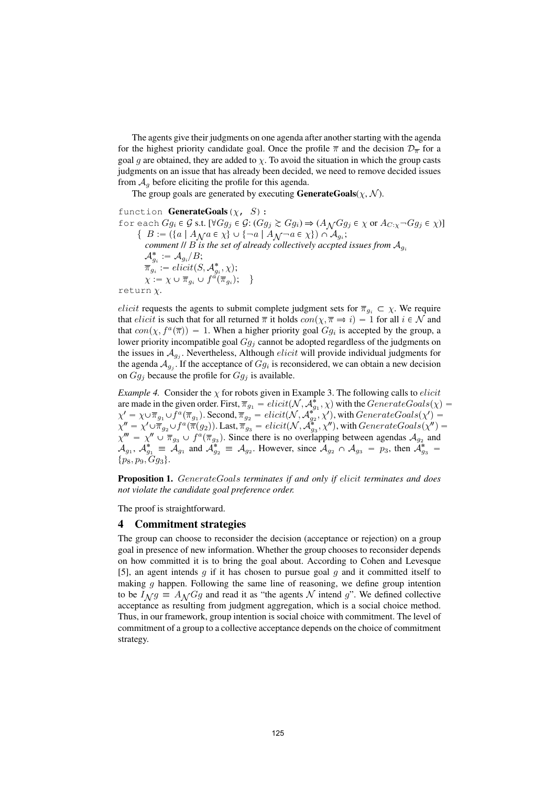The agents give their judgments on one agenda after another starting with the agenda for the highest priority candidate goal. Once the profile  $\overline{\pi}$  and the decision  $\mathcal{D}_{\overline{\pi}}$  for a goal g are obtained, they are added to  $\chi$ . To avoid the situation in which the group casts judgments on an issue that has already been decided, we need to remove decided issues from  $A_q$  before eliciting the profile for this agenda.

The group goals are generated by executing **GenerateGoals** $(\chi, \mathcal{N})$ .

function **GenerateGoals** ( $\chi$ , S): for each  $Gg_i \in \mathcal{G}$  s.t.  $[\forall Gg_j \in \mathcal{G}: (Gg_j \succsim Gg_i) \Rightarrow (A_{\mathcal{N}}Gg_j \in \chi \text{ or } A_{C:\chi} \neg Gg_j \in \chi)]$ { $B := (\{a \mid A \setminus a \in \chi\}) \cup \{\neg a \mid A \setminus \neg a \in \chi\}) \cap A_{g_i};$ <br>commant *II*  $B$  is the set of glycady collectively gented comment  $\parallel B$  is the set of already collectively accpted issues from  $A_{g_i}$  $\mathcal{A}_{g_i}^* := \mathcal{A}_{g_i}/B;$  $\overline{\pi}_{g_i}^{\sigma} := \text{elicit}(S, \mathcal{A}_{g_i}^*, \chi);$  $\chi := \chi \cup \overline{\pi}_{g_i} \cup f^{\tilde{a}}(\overline{\pi}_{g_i}); \quad \}$ 

$$
\texttt{return } \chi.
$$

elicit requests the agents to submit complete judgment sets for  $\overline{\pi}_{g_i} \subset \chi$ . We require that *elicit* is such that for all returned  $\bar{\pi}$  it holds  $con(\chi, \bar{\pi} \Rightarrow i) = 1$  for all  $i \in \mathcal{N}$  and that  $con(\chi, f^a(\overline{\pi})) = 1$ . When a higher priority goal  $Gg_i$  is accepted by the group, a lower priority incompatible goal  $Gg_i$  cannot be adopted regardless of the judgments on the issues in  $A_{q_i}$ . Nevertheless, Although *elicit* will provide individual judgments for the agenda  $A_{g_i}$ . If the acceptance of  $Gg_i$  is reconsidered, we can obtain a new decision on  $Gg_j$  because the profile for  $Gg_j$  is available.

*Example 4.* Consider the  $\chi$  for robots given in Example 3. The following calls to *elicit* are made in the given order. First,  $\overline{\pi}_{g_1} = elicit(\mathcal{N}, \mathcal{A}_g^*)$ are made in the given order. First,  $\overline{\pi}_{g_1} = elicit(\mathcal{N}, \mathcal{A}_{g_1}^*, \chi)$  with the  $GenerateGoals(\chi)$  $\chi' = \chi \cup \overline{\pi}_{g_1} \cup f^a(\overline{\pi}_{g_1})$ . Second,  $\overline{\pi}_{g_2} = elicit(\mathcal{N}, \mathcal{A}_{g_2}^{*^2}, \chi')$ , with  $GenerateGoal(\chi') =$  $\chi'' = \chi' \cup \overline{\pi}_{g_2} \cup f^a(\overline{\pi}(g_2)).$  Last,  $\overline{\pi}_{g_3} = elicit(\mathcal{N}, \mathcal{A}_{g_3}^*, \chi''),$  with  $GenerateGoal(s(\chi'') = \chi' \cup \overline{\pi}_{g_2} \cup f^a(\overline{\pi}(g_2)).$  $\chi''' = \chi'' \cup \overline{\pi}_{g_3} \cup f^a(\overline{\pi}_{g_3})$ . Since there is no overlapping between agendas  $\mathcal{A}_{g_2}$  and  $\mathcal{A}_{g_1}$ ,  $\mathcal{A}_{g_1}^* \equiv \mathcal{A}_{g_1}$  and  $\mathcal{A}_{g_2}^* \equiv \mathcal{A}_{g_2}$ . However, since  $\mathcal{A}_{g_2} \cap \mathcal{A}_{g_3} = p_3$ , then  $\mathcal{A}_{g_3}^* =$  $\{p_8, p_9, Gg_3\}.$ 

Proposition 1. GenerateGoals terminates if and only if elicit terminates and does not violate the candidate goal preference order.

The proof is straightforward.

### 4 Commitment strategies

The group can choose to reconsider the decision (acceptance or rejection) on a group goal in presence of new information. Whether the group chooses to reconsider depends on how committed it is to bring the goal about. According to Cohen and Levesque [5], an agent intends  $q$  if it has chosen to pursue goal  $q$  and it committed itself to making  $q$  happen. Following the same line of reasoning, we define group intention to be  $I_{\mathcal{N}}g \equiv A_{\mathcal{N}}Gg$  and read it as "the agents N intend g". We defined collective acceptance as resulting from judgment aggregation, which is a social choice method. Thus, in our framework, group intention is social choice with commitment. The level of commitment of a group to a collective acceptance depends on the choice of commitment strategy.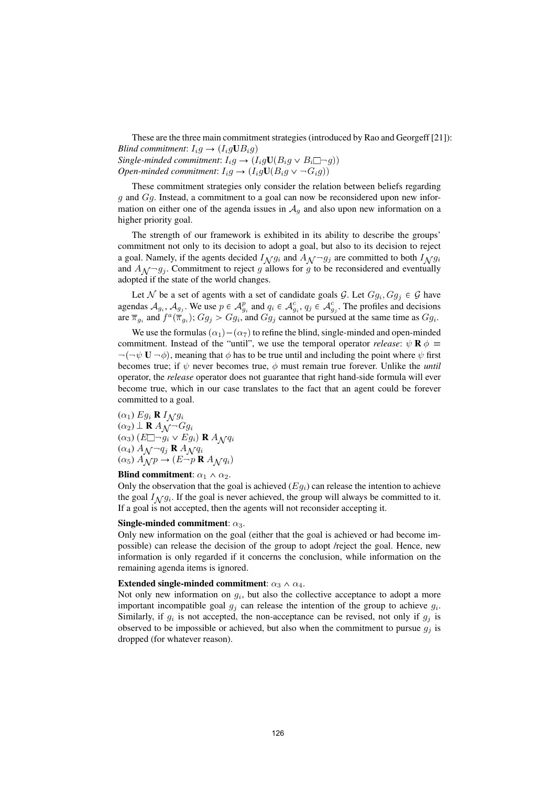These are the three main commitment strategies (introduced by Rao and Georgeff [21]): Blind commitment:  $I_i g \rightarrow (I_i g \mathbf{U} B_i g)$ Single-minded commitment:  $I_i g \rightarrow (I_i g \mathbf{U}(B_i g \vee B_i \Box \neg g))$ Open-minded commitment:  $I_i g \to (I_i g \mathbf{U}(B_i g \vee \neg G_i g))$ 

These commitment strategies only consider the relation between beliefs regarding  $g$  and  $Gg$ . Instead, a commitment to a goal can now be reconsidered upon new information on either one of the agenda issues in  $A<sub>q</sub>$  and also upon new information on a higher priority goal.

The strength of our framework is exhibited in its ability to describe the groups' commitment not only to its decision to adopt a goal, but also to its decision to reject a goal. Namely, if the agents decided  $I_{\mathcal{N}} g_i$  and  $A_{\mathcal{N}} - g_j$  are committed to both  $I_{\mathcal{N}} g_i$ and  $A_{\mathcal{N}}-g_j$ . Commitment to reject g allows for g to be reconsidered and eventually adopted if the state of the world changes.

Let N be a set of agents with a set of candidate goals G. Let  $Gg_i, Gg_j \in \mathcal{G}$  have agendas  $A_{g_i}$ ,  $A_{g_j}$ . We use  $p \in A_{g_i}^p$  and  $q_i \in A_{g_i}^c$ ,  $q_j \in A_{g_j}^c$ . The profiles and decisions are  $\overline{\pi}_{g_i}$  and  $f^a(\overline{\pi}_{g_i})$ ;  $Gg_j > Gg_i$ , and  $Gg_j$  cannot be pursued at the same time as  $Gg_i$ .

We use the formulas  $(\alpha_1) - (\alpha_7)$  to refine the blind, single-minded and open-minded commitment. Instead of the "until", we use the temporal operator release:  $\psi \mathbf{R} \phi \equiv$  $\neg(\neg \psi \mathbf{U} \neg \phi)$ , meaning that  $\phi$  has to be true until and including the point where  $\psi$  first becomes true; if  $\psi$  never becomes true,  $\phi$  must remain true forever. Unlike the *until* operator, the release operator does not guarantee that right hand-side formula will ever become true, which in our case translates to the fact that an agent could be forever committed to a goal.

 $(\alpha_1) Eg_i \mathbf{R} I_{\mathcal{N}} g_i$  $(\alpha_2)$   $\perp$  **R**  $A_N$ <sup>-</sup> $Gg_i$  $(\alpha_3)$   $(E \Box \neg g_i \vee Eg_i)$  R  $A \wedge q_i$  $(\alpha_4) A_{\mathcal{N}} q_j \mathbf{R} A_{\mathcal{N}} q_i$  $(\alpha_5)$   $\stackrel{\sim}{A_{\mathcal{N}}} p \rightarrow (E \stackrel{\sim}{\neg p} \mathbf{R} A_{\mathcal{N}} q_i)$ 

### Blind commitment:  $\alpha_1 \wedge \alpha_2$ .

Only the observation that the goal is achieved  $(Eg_i)$  can release the intention to achieve the goal  $I_{\Lambda}$  g<sub>i</sub>. If the goal is never achieved, the group will always be committed to it. If a goal is not accepted, then the agents will not reconsider accepting it.

#### Single-minded commitment:  $\alpha_3$ .

Only new information on the goal (either that the goal is achieved or had become impossible) can release the decision of the group to adopt /reject the goal. Hence, new information is only regarded if it concerns the conclusion, while information on the remaining agenda items is ignored.

#### Extended single-minded commitment:  $\alpha_3 \wedge \alpha_4$ .

Not only new information on  $g_i$ , but also the collective acceptance to adopt a more important incompatible goal  $g_i$  can release the intention of the group to achieve  $g_i$ . Similarly, if  $g_i$  is not accepted, the non-acceptance can be revised, not only if  $g_j$  is observed to be impossible or achieved, but also when the commitment to pursue  $g_i$  is dropped (for whatever reason).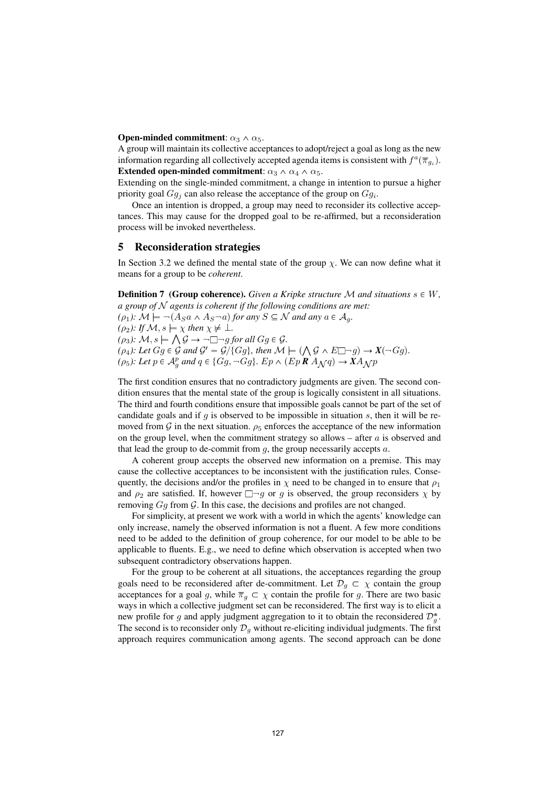**Open-minded commitment:**  $\alpha_3 \wedge \alpha_5$ .

A group will maintain its collective acceptances to adopt/reject a goal as long as the new information regarding all collectively accepted agenda items is consistent with  $f^a(\overline{\pi}_{a_i})$ . Extended open-minded commitment:  $\alpha_3 \wedge \alpha_4 \wedge \alpha_5$ .

Extending on the single-minded commitment, a change in intention to pursue a higher priority goal  $Gg_i$  can also release the acceptance of the group on  $Gg_i$ .

Once an intention is dropped, a group may need to reconsider its collective acceptances. This may cause for the dropped goal to be re-affirmed, but a reconsideration process will be invoked nevertheless.

### 5 Reconsideration strategies

In Section 3.2 we defined the mental state of the group  $\chi$ . We can now define what it means for a group to be coherent.

**Definition 7 (Group coherence).** Given a Kripke structure M and situations  $s \in W$ , a group of  $N$  agents is coherent if the following conditions are met:

 $(\rho_1): \mathcal{M} \models \neg (A_S a \land A_S \neg a)$  for any  $S \subseteq \mathcal{N}$  and any  $a \in \mathcal{A}_q$ . ( $\rho_2$ ): If  $\mathcal{M}, s \models \chi$  then  $\chi \not\models \bot$ .  $(\rho_3): \mathcal{M}, s \models \bigwedge \mathcal{G} \rightarrow \neg \Box \neg g \text{ for all } Gg \in \mathcal{G}.$  $(\rho_4)$ : Let  $Gg \in \mathcal{G}$  and  $\mathcal{G}' = \mathcal{G}/\{Gg\}$ , then  $\mathcal{M} \models (\bigwedge \mathcal{G} \wedge E \Box \neg g) \rightarrow X(\neg Gg)$ .  $(\rho_5)$ : Let  $p \in A_g^p$  and  $q \in \{Gg, \neg Gg\}$ . Ep  $\wedge$   $(Ep \mathbb{R} A_{\mathcal{N}} q) \rightarrow X A_{\mathcal{N}} p$ 

The first condition ensures that no contradictory judgments are given. The second condition ensures that the mental state of the group is logically consistent in all situations. The third and fourth conditions ensure that impossible goals cannot be part of the set of candidate goals and if g is observed to be impossible in situation s, then it will be removed from G in the next situation.  $\rho_5$  enforces the acceptance of the new information on the group level, when the commitment strategy so allows – after  $a$  is observed and that lead the group to de-commit from  $g$ , the group necessarily accepts  $a$ .

A coherent group accepts the observed new information on a premise. This may cause the collective acceptances to be inconsistent with the justification rules. Consequently, the decisions and/or the profiles in  $\chi$  need to be changed in to ensure that  $\rho_1$ and  $\rho_2$  are satisfied. If, however  $\Box \neg g$  or g is observed, the group reconsiders  $\chi$  by removing  $Gg$  from  $G$ . In this case, the decisions and profiles are not changed.

For simplicity, at present we work with a world in which the agents' knowledge can only increase, namely the observed information is not a fluent. A few more conditions need to be added to the definition of group coherence, for our model to be able to be applicable to fluents. E.g., we need to define which observation is accepted when two subsequent contradictory observations happen.

For the group to be coherent at all situations, the acceptances regarding the group goals need to be reconsidered after de-commitment. Let  $\mathcal{D}_q \subset \chi$  contain the group acceptances for a goal g, while  $\overline{\pi}_g \subset \chi$  contain the profile for g. There are two basic ways in which a collective judgment set can be reconsidered. The first way is to elicit a new profile for g and apply judgment aggregation to it to obtain the reconsidered  $\mathcal{D}_{g}^{*}$ . The second is to reconsider only  $\mathcal{D}_g$  without re-eliciting individual judgments. The first approach requires communication among agents. The second approach can be done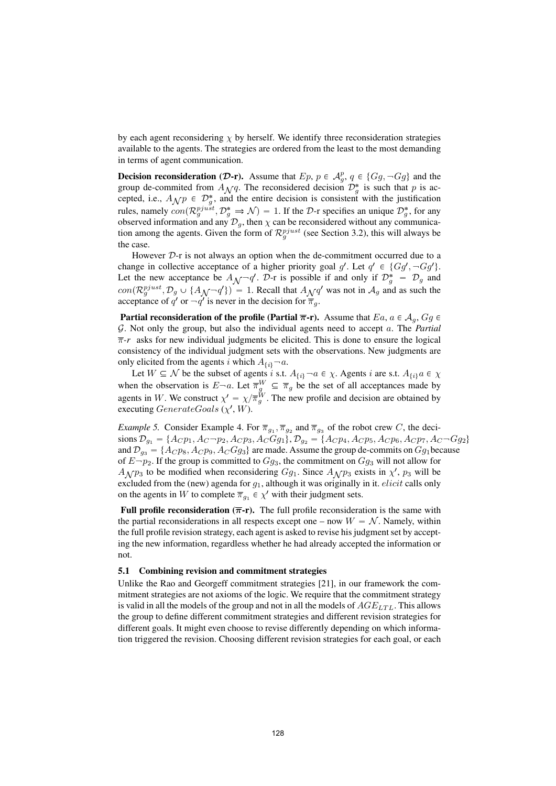by each agent reconsidering  $\chi$  by herself. We identify three reconsideration strategies available to the agents. The strategies are ordered from the least to the most demanding in terms of agent communication.

**Decision reconsideration (D-r).** Assume that  $Ep$ ,  $p \in \mathcal{A}_g^p$ ,  $q \in \{Gg, \neg Gg\}$  and the group de-commited from  $A_{\mathcal{N}}q$ . The reconsidered decision  $\mathcal{D}_{g}^{*}$  is such that p is ac-<br>centred i.e.,  $A_{\mathcal{N}}q \in \mathcal{D}^{*}$  and the entire decision is consistent with the justification cepted, i.e.,  $A_{\mathcal{N}} p \in \mathcal{D}_{g}^{*}$ , and the entire decision is consistent with the justification where remains  $\mathcal{D}_{g}^{*}$  for example, results are  $\mathcal{D}_{g}^{*}$  for example, results are  $\mathcal{D}_{g}^{*}$  for example, rules, namely  $con(\mathcal{R}_g^{pjust}, \mathcal{D}_g^* \Rightarrow \mathcal{N}) = 1$ . If the D-r specifies an unique  $\mathcal{D}_g^*$ , for any observed information and any  $\mathcal{D}_g$ , then  $\chi$  can be reconsidered without any communication among the agents. Given the form of  $\mathcal{R}_g^{pjust}$  (see Section 3.2), this will always be the case.

However  $D$ -r is not always an option when the de-commitment occurred due to a change in collective acceptance of a higher priority goal  $g'$ . Let  $q' \in \{Gg', \neg Gg'\}$ . Let the new acceptance be  $A_{\mathcal{N}}\neg q'$ .  $\mathcal{D}$ -r is possible if and only if  $\mathcal{D}^*_{g} = \mathcal{D}_g$  and  $\Box_{g}(\mathcal{D}^{n})$  is  $A_{g}$ .  $\Box_{g}(\mathcal{D}^{n})$  is a subset of the subset of the subset of the subset of the subset of  $con(\mathcal{R}_g^{pjust}, \mathcal{D}_g \cup \{\mathcal{A}_{\mathcal{N}}\neg q'\}) = 1$ . Recall that  $\mathcal{A}_{\mathcal{N}}q'$  was not in  $\mathcal{A}_g$  and as such the acceptance of q' or  $\neg q'$  is never in the decision for  $\overline{\pi}_q$ .

**Partial reconsideration of the profile (Partial**  $\overline{\pi}$ **-r).** Assume that Ea,  $a \in A_g$ , Gg  $\in$  $G$ . Not only the group, but also the individual agents need to accept  $a$ . The *Partial*  $\overline{\pi}$ -r asks for new individual judgments be elicited. This is done to ensure the logical consistency of the individual judgment sets with the observations. New judgments are only elicited from the agents i which  $A_{\{i\}}$  – a.

Let  $W \subseteq \mathcal{N}$  be the subset of agents i s.t.  $A_{\{i\}} \neg a \in \chi$ . Agents i are s.t.  $A_{\{i\}} a \in \chi$ when the observation is  $E \neg a$ . Let  $\overline{\pi}_g^W \subseteq \overline{\pi}_g$  be the set of all acceptances made by agents in W. We construct  $\chi' = \chi/\overline{\pi}_g^W$ . The new profile and decision are obtained by executing  $\emph{GenerateGools}$  ( $\chi'$ ,  $W$ ).

*Example 5.* Consider Example 4. For  $\overline{\pi}_{g_1}, \overline{\pi}_{g_2}$  and  $\overline{\pi}_{g_3}$  of the robot crew C, the decisions  $\mathcal{D}_{g_1} = \{A_C p_1, A_C \neg p_2, A_C p_3, A_C G g_1\}, \mathcal{D}_{g_2} = \{A_C p_4, A_C p_5, A_C p_6, A_C p_7, A_C \neg G g_2\}$ and  $\mathcal{D}_{g_3} = \{A_C p_8, A_C p_9, A_C G g_3\}$  are made. Assume the group de-commits on  $Gg_1$  because of  $E-p_2$ . If the group is committed to  $Gg_3$ , the commitment on  $Gg_3$  will not allow for  $A_{\mathcal{N}} p_3$  to be modified when reconsidering  $Gg_1$ . Since  $A_{\mathcal{N}} p_3$  exists in  $\chi'$ ,  $p_3$  will be excluded from the (new) example for  $c$ , elthough it was critinally in it, eligit calls only excluded from the (new) agenda for  $g_1$ , although it was originally in it. *elicit* calls only on the agents in W to complete  $\overline{\pi}_{g_1} \in \chi'$  with their judgment sets.

**Full profile reconsideration (** $\overline{\pi}$ **-r).** The full profile reconsideration is the same with the partial reconsiderations in all respects except one – now  $W = \mathcal{N}$ . Namely, within the full profile revision strategy, each agent is asked to revise his judgment set by accepting the new information, regardless whether he had already accepted the information or not.

#### 5.1 Combining revision and commitment strategies

Unlike the Rao and Georgeff commitment strategies [21], in our framework the commitment strategies are not axioms of the logic. We require that the commitment strategy is valid in all the models of the group and not in all the models of  $AGE_{LTL}$ . This allows the group to define different commitment strategies and different revision strategies for different goals. It might even choose to revise differently depending on which information triggered the revision. Choosing different revision strategies for each goal, or each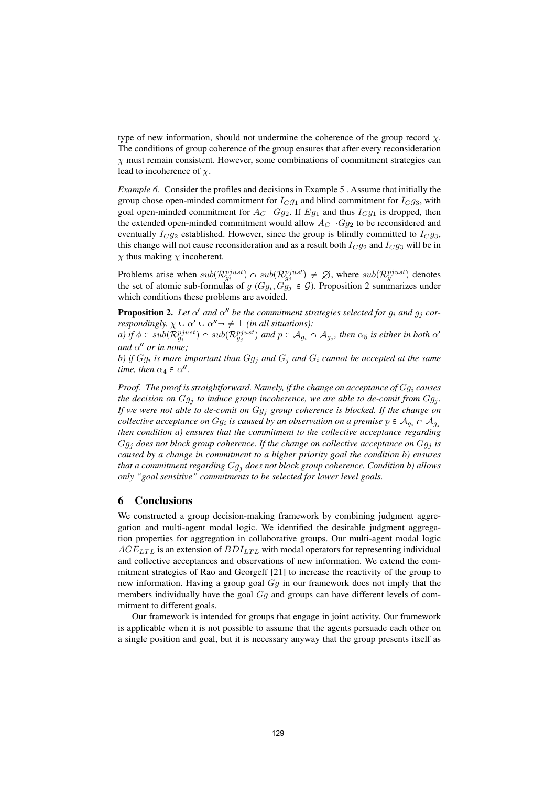type of new information, should not undermine the coherence of the group record  $\chi$ . The conditions of group coherence of the group ensures that after every reconsideration  $\chi$  must remain consistent. However, some combinations of commitment strategies can lead to incoherence of  $\chi$ .

Example 6. Consider the profiles and decisions in Example 5 . Assume that initially the group chose open-minded commitment for  $I_{C}g_1$  and blind commitment for  $I_{C}g_3$ , with goal open-minded commitment for  $A_C \neg Gg_2$ . If  $Eg_1$  and thus  $I_C g_1$  is dropped, then the extended open-minded commitment would allow  $A_C \neg Gg_2$  to be reconsidered and eventually  $I_{C}g_2$  established. However, since the group is blindly committed to  $I_{C}g_3$ , this change will not cause reconsideration and as a result both  $I_{C}g_{2}$  and  $I_{C}g_{3}$  will be in  $\chi$  thus making  $\chi$  incoherent.

Problems arise when  $sub(\mathcal{R}_{g_i}^{pjust}) \cap sub(\mathcal{R}_{g_j}^{pjust}) \neq \emptyset$ , where  $sub(\mathcal{R}_{g}^{pjust})$  denotes the set of atomic sub-formulas of  $g(Gg_i, Gg_j \in \mathcal{G})$ . Proposition 2 summarizes under which conditions these problems are avoided.

**Proposition 2.** Let  $\alpha'$  and  $\alpha''$  be the commitment strategies selected for  $g_i$  and  $g_j$  correspondingly.  $\chi \cup \alpha' \cup \alpha'' \rightarrow \neq \bot$  (in all situations):

a) if  $\phi \in sub(\mathcal{R}^{pjust}_{g_i}) \cap sub(\mathcal{R}^{pjust}_{g_j})$  and  $p \in \mathcal{A}_{g_i} \cap \mathcal{A}_{g_j}$ , then  $\alpha_5$  is either in both  $\alpha'$ and  $\alpha''$  or in none;

b) if  $Gg_i$  is more important than  $Gg_j$  and  $G_i$  and  $G_i$  cannot be accepted at the same time, then  $\alpha_4 \in \alpha''$ .

*Proof.* The proof is straightforward. Namely, if the change on acceptance of  $Gg_i$  causes the decision on  $Gg_i$  to induce group incoherence, we are able to de-comit from  $Gg_i$ . If we were not able to de-comit on  $Gg_j$  group coherence is blocked. If the change on collective acceptance on  $Gg_i$  is caused by an observation on a premise  $p \in A_{g_i} \cap A_{g_j}$ then condition a) ensures that the commitment to the collective acceptance regarding  $Gg_j$  does not block group coherence. If the change on collective acceptance on  $Gg_j$  is caused by a change in commitment to a higher priority goal the condition b) ensures that a commitment regarding  $Gg_i$  does not block group coherence. Condition b) allows only "goal sensitive" commitments to be selected for lower level goals.

## 6 Conclusions

We constructed a group decision-making framework by combining judgment aggregation and multi-agent modal logic. We identified the desirable judgment aggregation properties for aggregation in collaborative groups. Our multi-agent modal logic  $AGE_{LTL}$  is an extension of  $BDI_{LTL}$  with modal operators for representing individual and collective acceptances and observations of new information. We extend the commitment strategies of Rao and Georgeff [21] to increase the reactivity of the group to new information. Having a group goal Gg in our framework does not imply that the members individually have the goal  $Gg$  and groups can have different levels of commitment to different goals.

Our framework is intended for groups that engage in joint activity. Our framework is applicable when it is not possible to assume that the agents persuade each other on a single position and goal, but it is necessary anyway that the group presents itself as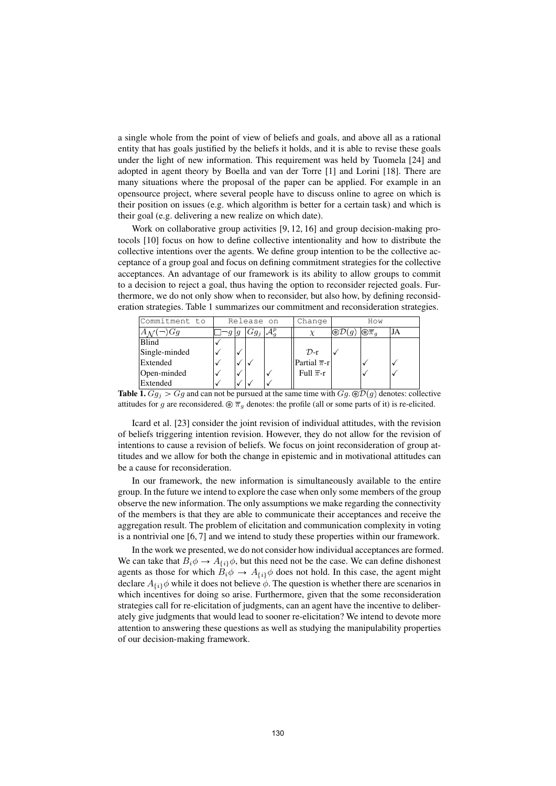a single whole from the point of view of beliefs and goals, and above all as a rational entity that has goals justified by the beliefs it holds, and it is able to revise these goals under the light of new information. This requirement was held by Tuomela [24] and adopted in agent theory by Boella and van der Torre [1] and Lorini [18]. There are many situations where the proposal of the paper can be applied. For example in an opensource project, where several people have to discuss online to agree on which is their position on issues (e.g. which algorithm is better for a certain task) and which is their goal (e.g. delivering a new realize on which date).

Work on collaborative group activities [9, 12, 16] and group decision-making protocols [10] focus on how to define collective intentionality and how to distribute the collective intentions over the agents. We define group intention to be the collective acceptance of a group goal and focus on defining commitment strategies for the collective acceptances. An advantage of our framework is its ability to allow groups to commit to a decision to reject a goal, thus having the option to reconsider rejected goals. Furthermore, we do not only show when to reconsider, but also how, by defining reconsideration strategies. Table 1 summarizes our commitment and reconsideration strategies.

| Commitment to |   | Release on | Change                      | How                      |                          |    |
|---------------|---|------------|-----------------------------|--------------------------|--------------------------|----|
| $(\neg) Gg$   | g | $Gg_i$     |                             | $\circledast\mathcal{D}$ | $\odot \overline{\pi}_q$ | JA |
| Blind         |   |            |                             |                          |                          |    |
| Single-minded |   |            | $\mathcal{D}$ -r            |                          |                          |    |
| Extended      |   |            | Partial $\overline{\pi}$ -r |                          |                          |    |
| Open-minded   |   |            | Full $\overline{\pi}$ -r    |                          |                          |    |
| Extended      |   |            |                             |                          |                          |    |

**Table 1.**  $Gg_i > Gg$  and can not be pursued at the same time with  $Gg$ .  $\mathcal{D}(g)$  denotes: collective attitudes for g are reconsidered.  $\mathcal{D} \overline{\pi}_g$  denotes: the profile (all or some parts of it) is re-elicited.

Icard et al. [23] consider the joint revision of individual attitudes, with the revision of beliefs triggering intention revision. However, they do not allow for the revision of intentions to cause a revision of beliefs. We focus on joint reconsideration of group attitudes and we allow for both the change in epistemic and in motivational attitudes can be a cause for reconsideration.

In our framework, the new information is simultaneously available to the entire group. In the future we intend to explore the case when only some members of the group observe the new information. The only assumptions we make regarding the connectivity of the members is that they are able to communicate their acceptances and receive the aggregation result. The problem of elicitation and communication complexity in voting is a nontrivial one [6, 7] and we intend to study these properties within our framework.

In the work we presented, we do not consider how individual acceptances are formed. We can take that  $B_i\phi \to A_{\{i\}}\phi$ , but this need not be the case. We can define dishonest agents as those for which  $B_i\phi \to A_{\{i\}}\phi$  does not hold. In this case, the agent might declare  $A_{\{i\}}\phi$  while it does not believe  $\phi$ . The question is whether there are scenarios in which incentives for doing so arise. Furthermore, given that the some reconsideration strategies call for re-elicitation of judgments, can an agent have the incentive to deliberately give judgments that would lead to sooner re-elicitation? We intend to devote more attention to answering these questions as well as studying the manipulability properties of our decision-making framework.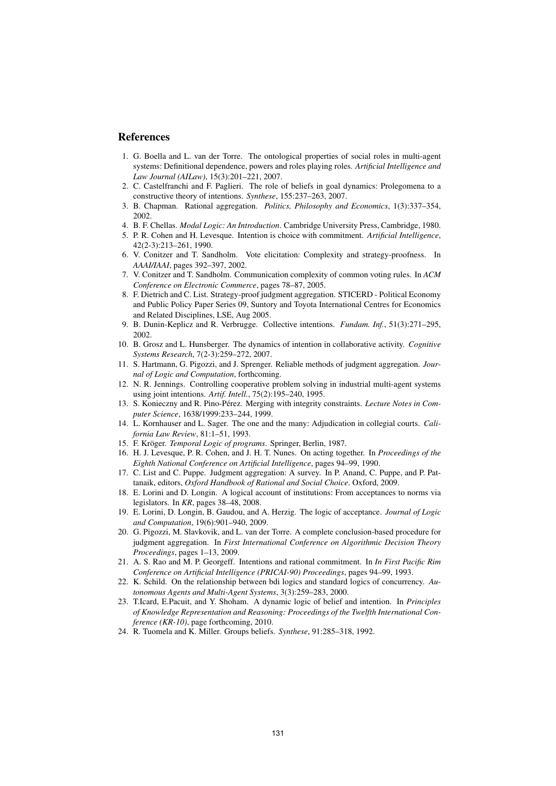## References

- 1. G. Boella and L. van der Torre. The ontological properties of social roles in multi-agent systems: Definitional dependence, powers and roles playing roles. Artificial Intelligence and Law Journal (AILaw), 15(3):201–221, 2007.
- 2. C. Castelfranchi and F. Paglieri. The role of beliefs in goal dynamics: Prolegomena to a constructive theory of intentions. Synthese, 155:237–263, 2007.
- 3. B. Chapman. Rational aggregation. Politics, Philosophy and Economics, 1(3):337–354, 2002.
- 4. B. F. Chellas. *Modal Logic: An Introduction*. Cambridge University Press. Cambridge. 1980.
- 5. P. R. Cohen and H. Levesque. Intention is choice with commitment. Artificial Intelligence, 42(2-3):213–261, 1990.
- 6. V. Conitzer and T. Sandholm. Vote elicitation: Complexity and strategy-proofness. In AAAI/IAAI, pages 392–397, 2002.
- 7. V. Conitzer and T. Sandholm. Communication complexity of common voting rules. In ACM Conference on Electronic Commerce, pages 78–87, 2005.
- 8. F. Dietrich and C. List. Strategy-proof judgment aggregation. STICERD Political Economy and Public Policy Paper Series 09, Suntory and Toyota International Centres for Economics and Related Disciplines, LSE, Aug 2005.
- 9. B. Dunin-Keplicz and R. Verbrugge. Collective intentions. Fundam. Inf., 51(3):271–295, 2002.
- 10. B. Grosz and L. Hunsberger. The dynamics of intention in collaborative activity. Cognitive Systems Research, 7(2-3):259–272, 2007.
- 11. S. Hartmann, G. Pigozzi, and J. Sprenger. Reliable methods of judgment aggregation. Journal of Logic and Computation, forthcoming.
- 12. N. R. Jennings. Controlling cooperative problem solving in industrial multi-agent systems using joint intentions. Artif. Intell., 75(2):195–240, 1995.
- 13. S. Konieczny and R. Pino-Pérez. Merging with integrity constraints. Lecture Notes in Computer Science, 1638/1999:233–244, 1999.
- 14. L. Kornhauser and L. Sager. The one and the many: Adjudication in collegial courts. California Law Review, 81:1–51, 1993.
- 15. F. Kröger. *Temporal Logic of programs*. Springer, Berlin, 1987.
- 16. H. J. Levesque, P. R. Cohen, and J. H. T. Nunes. On acting together. In Proceedings of the Eighth National Conference on Artificial Intelligence, pages 94–99, 1990.
- 17. C. List and C. Puppe. Judgment aggregation: A survey. In P. Anand, C. Puppe, and P. Pattanaik, editors, Oxford Handbook of Rational and Social Choice. Oxford, 2009.
- 18. E. Lorini and D. Longin. A logical account of institutions: From acceptances to norms via legislators. In KR, pages 38–48, 2008.
- 19. E. Lorini, D. Longin, B. Gaudou, and A. Herzig. The logic of acceptance. Journal of Logic and Computation, 19(6):901–940, 2009.
- 20. G. Pigozzi, M. Slavkovik, and L. van der Torre. A complete conclusion-based procedure for judgment aggregation. In First International Conference on Algorithmic Decision Theory Proceedings, pages 1–13, 2009.
- 21. A. S. Rao and M. P. Georgeff. Intentions and rational commitment. In In First Pacific Rim Conference on Artificial Intelligence (PRICAI-90) Proceedings, pages 94–99, 1993.
- 22. K. Schild. On the relationship between bdi logics and standard logics of concurrency.  $Au$ tonomous Agents and Multi-Agent Systems, 3(3):259–283, 2000.
- 23. T.Icard, E.Pacuit, and Y. Shoham. A dynamic logic of belief and intention. In Principles of Knowledge Representation and Reasoning: Proceedings of the Twelfth International Conference (KR-10), page forthcoming, 2010.
- 24. R. Tuomela and K. Miller. Groups beliefs. Synthese, 91:285–318, 1992.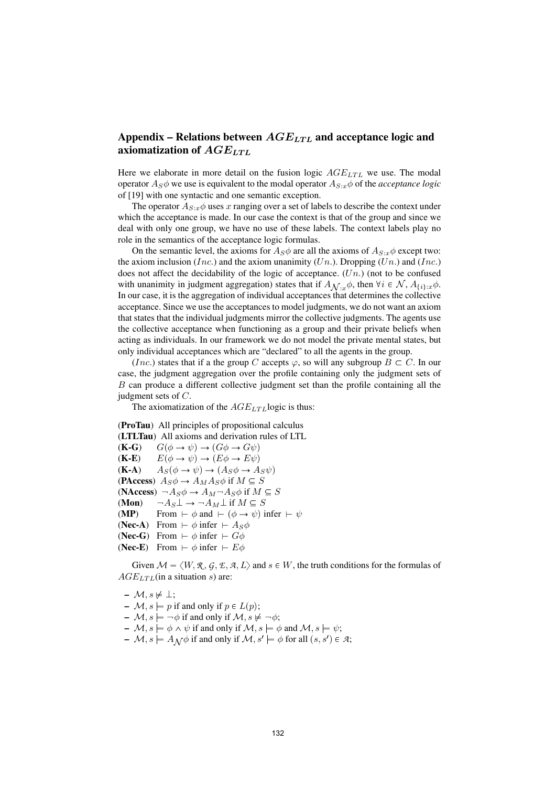# Appendix – Relations between  $AGE_{LTL}$  and acceptance logic and axiomatization of  $AGE_{LTL}$

Here we elaborate in more detail on the fusion logic  $AGE_{LTL}$  we use. The modal operator  $A_S \phi$  we use is equivalent to the modal operator  $A_{S:x}\phi$  of the *acceptance logic* of [19] with one syntactic and one semantic exception.

The operator  $A_{S:x}\phi$  uses x ranging over a set of labels to describe the context under which the acceptance is made. In our case the context is that of the group and since we deal with only one group, we have no use of these labels. The context labels play no role in the semantics of the acceptance logic formulas.

On the semantic level, the axioms for  $A_S\phi$  are all the axioms of  $A_{S:x}\phi$  except two: the axiom inclusion (Inc.) and the axiom unanimity (Un.). Dropping (Un.) and (Inc.) does not affect the decidability of the logic of acceptance.  $(Un.)$  (not to be confused with unanimity in judgment aggregation) states that if  $A_{\mathcal{N}:x}\phi$ , then  $\forall i \in \mathcal{N}, A_{\{i\}:x}\phi$ . In our case, it is the aggregation of individual acceptances that determines the collective acceptance. Since we use the acceptances to model judgments, we do not want an axiom that states that the individual judgments mirror the collective judgments. The agents use the collective acceptance when functioning as a group and their private beliefs when acting as individuals. In our framework we do not model the private mental states, but only individual acceptances which are "declared" to all the agents in the group.

(Inc.) states that if a the group C accepts  $\varphi$ , so will any subgroup  $B \subset C$ . In our case, the judgment aggregation over the profile containing only the judgment sets of B can produce a different collective judgment set than the profile containing all the judgment sets of C.

The axiomatization of the  $AGE_{LTL}$  logic is thus:

(ProTau) All principles of propositional calculus (LTLTau) All axioms and derivation rules of LTL  $(K-G)$   $G(\phi \rightarrow \psi) \rightarrow (G\phi \rightarrow G\psi)$  $(K-E)$   $E(\phi \rightarrow \psi) \rightarrow (E\phi \rightarrow E\psi)$  $(K-A)$   $A_S(\phi \rightarrow \psi) \rightarrow (A_S\phi \rightarrow A_S\psi)$ (PAccess)  $A_S \phi \rightarrow A_M A_S \phi$  if  $M \subseteq S$ (NAccess)  $\neg A_S \phi \rightarrow A_M \neg A_S \phi$  if  $M \subseteq S$ (Mon)  $\neg A_S \bot \rightarrow \neg A_M \bot$  if  $M \subseteq S$ (MP) From  $\vdash \phi$  and  $\vdash (\phi \rightarrow \psi)$  infer  $\vdash \psi$ (Nec-A) From  $\vdash \phi$  infer  $\vdash A_S \phi$ (Nec-G) From  $\vdash \phi$  infer  $\vdash G\phi$ (Nec-E) From  $\vdash \phi$  infer  $\vdash E\phi$ 

Given  $\mathcal{M} = \langle W, \mathcal{R}, \mathcal{G}, \mathcal{L}, \mathcal{A}, L \rangle$  and  $s \in W$ , the truth conditions for the formulas of  $AGE_{LTL}$ (in a situation s) are:

- $M, s \not\models \perp;$
- $\blacktriangleright$   $\mathcal{M}, s \models p$  if and only if  $p \in L(p)$ ;
- $\mathcal{M}, s \models \neg \phi$  if and only if  $\mathcal{M}, s \not\models \neg \phi$ ;
- $\rightarrow \mathcal{M}, s \models \phi \land \psi$  if and only if  $\mathcal{M}, s \models \phi$  and  $\mathcal{M}, s \models \psi$ ;
- $M$ ,  $s \models A \mathcal{N} \phi$  if and only if  $\mathcal{M}, s' \models \phi$  for all  $(s, s') \in \mathcal{A}$ ;